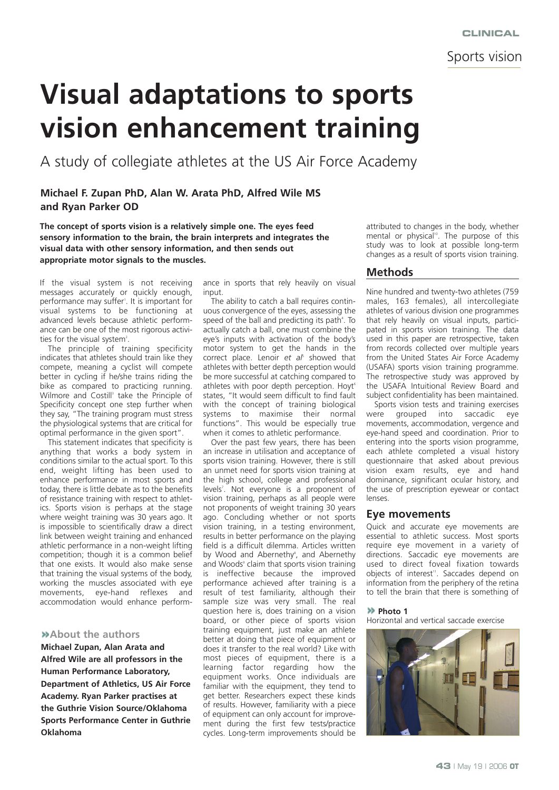Sports vision

# **Visual adaptations to sports vision enhancement training**

A study of collegiate athletes at the US Air Force Academy

## **Michael F. Zupan PhD, Alan W. Arata PhD, Alfred Wile MS and Ryan Parker OD**

**The concept of sports vision is a relatively simple one. The eyes feed sensory information to the brain, the brain interprets and integrates the visual data with other sensory information, and then sends out appropriate motor signals to the muscles.** 

If the visual system is not receiving messages accurately or quickly enough, performance may suffer'. It is important for visual systems to be functioning at advanced levels because athletic performance can be one of the most rigorous activities for the visual system<sup>2</sup>.

The principle of training specificity indicates that athletes should train like they compete, meaning a cyclist will compete better in cycling if he/she trains riding the bike as compared to practicing running. Wilmore and Costill<sup>3</sup> take the Principle of Specificity concept one step further when they say, "The training program must stress the physiological systems that are critical for optimal performance in the given sport".

This statement indicates that specificity is anything that works a body system in conditions similar to the actual sport. To this end, weight lifting has been used to enhance performance in most sports and today, there is little debate as to the benefits of resistance training with respect to athletics. Sports vision is perhaps at the stage where weight training was 30 years ago. It is impossible to scientifically draw a direct link between weight training and enhanced athletic performance in a non-weight lifting competition; though it is a common belief that one exists. It would also make sense that training the visual systems of the body, working the muscles associated with eve movements, eye-hand reflexes and accommodation would enhance perform-

#### **About the authors**

**Michael Zupan, Alan Arata and Alfred Wile are all professors in the Human Performance Laboratory, Department of Athletics, US Air Force Academy. Ryan Parker practises at the Guthrie Vision Source/Oklahoma Sports Performance Center in Guthrie Oklahoma**

ance in sports that rely heavily on visual input.

The ability to catch a ball requires continuous convergence of the eyes, assessing the speed of the ball and predicting its path<sup>4</sup>. To actually catch a ball, one must combine the eye's inputs with activation of the body's motor system to get the hands in the correct place. Lenoir et a<sup>p</sup> showed that athletes with better depth perception would be more successful at catching compared to athletes with poor depth perception. Hoyt<sup>6</sup> states, "It would seem difficult to find fault with the concept of training biological systems to maximise their normal functions". This would be especially true when it comes to athletic performance.

Over the past few years, there has been an increase in utilisation and acceptance of sports vision training. However, there is still an unmet need for sports vision training at the high school, college and professional levels<sup>7</sup>. Not everyone is a proponent of vision training, perhaps as all people were not proponents of weight training 30 years ago. Concluding whether or not sports vision training, in a testing environment, results in better performance on the playing field is a difficult dilemma. Articles written by Wood and Abernethy<sup>8</sup>, and Abernethy and Woods<sup>®</sup> claim that sports vision training is ineffective because the improved performance achieved after training is a result of test familiarity, although their sample size was very small. The real question here is, does training on a vision board, or other piece of sports vision training equipment, just make an athlete better at doing that piece of equipment or does it transfer to the real world? Like with most pieces of equipment, there is a learning factor regarding how the equipment works. Once individuals are familiar with the equipment, they tend to get better. Researchers expect these kinds of results. However, familiarity with a piece of equipment can only account for improvement during the first few tests/practice cycles. Long-term improvements should be

attributed to changes in the body, whether mental or physical<sup>10</sup>. The purpose of this study was to look at possible long-term changes as a result of sports vision training.

#### **Methods**

Nine hundred and twenty-two athletes (759 males, 163 females), all intercollegiate athletes of various division one programmes that rely heavily on visual inputs, participated in sports vision training. The data used in this paper are retrospective, taken from records collected over multiple years from the United States Air Force Academy (USAFA) sports vision training programme. The retrospective study was approved by the USAFA Intuitional Review Board and subject confidentiality has been maintained.

Sports vision tests and training exercises were grouped into saccadic eye movements, accommodation, vergence and eye-hand speed and coordination. Prior to entering into the sports vision programme, each athlete completed a visual history questionnaire that asked about previous vision exam results, eye and hand dominance, significant ocular history, and the use of prescription eyewear or contact lenses.

#### **Eye movements**

Quick and accurate eye movements are essential to athletic success. Most sports require eye movement in a variety of directions. Saccadic eye movements are used to direct foveal fixation towards objects of interest<sup>11</sup>. Saccades depend on information from the periphery of the retina to tell the brain that there is something of

#### **Photo 1**

Horizontal and vertical saccade exercise

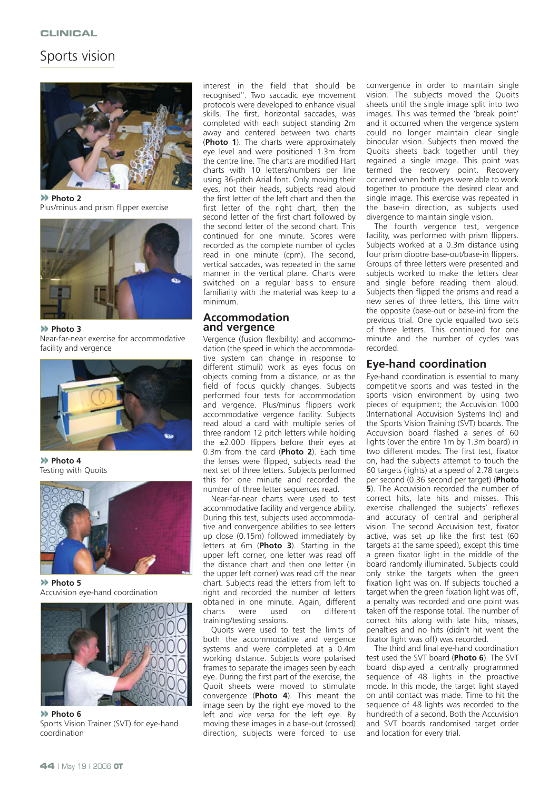# Sports vision



**Photo 2** Plus/minus and prism flipper exercise



**Photo 3** Near-far-near exercise for accommodative facility and vergence



**Photo 4** Testing with Quoits



**Photo 5** Accuvision eye-hand coordination



**Photo 6** Sports Vision Trainer (SVT) for eye-hand coordination

interest in the field that should be recognised<sup>12</sup>. Two saccadic eye movement protocols were developed to enhance visual skills. The first, horizontal saccades, was completed with each subject standing 2m away and centered between two charts (**Photo 1**). The charts were approximately eye level and were positioned 1.3m from the centre line. The charts are modified Hart charts with 10 letters/numbers per line using 36-pitch Arial font. Only moving their eyes, not their heads, subjects read aloud the first letter of the left chart and then the first letter of the right chart, then the second letter of the first chart followed by the second letter of the second chart. This continued for one minute. Scores were recorded as the complete number of cycles read in one minute (cpm). The second, vertical saccades, was repeated in the same manner in the vertical plane. Charts were switched on a regular basis to ensure familiarity with the material was keep to a minimum.

#### **Accommodation and vergence**

Vergence (fusion flexibility) and accommodation (the speed in which the accommodative system can change in response to different stimuli) work as eyes focus on objects coming from a distance, or as the field of focus quickly changes. Subjects performed four tests for accommodation and vergence. Plus/minus flippers work accommodative vergence facility. Subjects read aloud a card with multiple series of three random 12 pitch letters while holding the  $\pm 2.00D$  flippers before their eyes at 0.3m from the card (**Photo 2**). Each time the lenses were flipped, subjects read the next set of three letters. Subjects performed this for one minute and recorded the number of three letter sequences read.

Near-far-near charts were used to test accommodative facility and vergence ability. During this test, subjects used accommodative and convergence abilities to see letters up close (0.15m) followed immediately by letters at 6m (**Photo 3**). Starting in the upper left corner, one letter was read off the distance chart and then one letter (in the upper left corner) was read off the near chart. Subjects read the letters from left to right and recorded the number of letters obtained in one minute. Again, different<br>charts were used on different on different training/testing sessions.

Quoits were used to test the limits of both the accommodative and vergence systems and were completed at a 0.4m working distance. Subjects wore polarised frames to separate the images seen by each eye. During the first part of the exercise, the Quoit sheets were moved to stimulate convergence (**Photo 4**). This meant the image seen by the right eye moved to the left and *vice versa* for the left eye. By moving these images in a base-out (crossed) direction, subjects were forced to use

convergence in order to maintain single vision. The subjects moved the Quoits sheets until the single image split into two images. This was termed the 'break point' and it occurred when the vergence system could no longer maintain clear single binocular vision. Subjects then moved the Quoits sheets back together until they regained a single image. This point was termed the recovery point. Recovery occurred when both eyes were able to work together to produce the desired clear and single image. This exercise was repeated in the base-in direction, as subjects used divergence to maintain single vision.

The fourth vergence test, vergence facility, was performed with prism flippers. Subjects worked at a 0.3m distance using four prism dioptre base-out/base-in flippers. Groups of three letters were presented and subjects worked to make the letters clear and single before reading them aloud. Subjects then flipped the prisms and read a new series of three letters, this time with the opposite (base-out or base-in) from the previous trial. One cycle equalled two sets of three letters. This continued for one minute and the number of cycles was recorded.

## **Eye-hand coordination**

Eye-hand coordination is essential to many competitive sports and was tested in the sports vision environment by using two pieces of equipment; the Accuvision 1000 (International Accuvision Systems Inc) and the Sports Vision Training (SVT) boards. The Accuvision board flashed a series of 60 lights (over the entire 1m by 1.3m board) in two different modes. The first test, fixator on, had the subjects attempt to touch the 60 targets (lights) at a speed of 2.78 targets per second (0.36 second per target) (**Photo 5**). The Accuvision recorded the number of correct hits, late hits and misses. This exercise challenged the subjects' reflexes and accuracy of central and peripheral vision. The second Accuvision test, fixator active, was set up like the first test (60 targets at the same speed), except this time a green fixator light in the middle of the board randomly illuminated. Subjects could only strike the targets when the green fixation light was on. If subjects touched a target when the green fixation light was off, a penalty was recorded and one point was taken off the response total. The number of correct hits along with late hits, misses, penalties and no hits (didn't hit went the fixator light was off) was recorded.

The third and final eye-hand coordination test used the SVT board (**Photo 6**). The SVT board displayed a centrally programmed sequence of 48 lights in the proactive mode. In this mode, the target light stayed on until contact was made. Time to hit the sequence of 48 lights was recorded to the hundredth of a second. Both the Accuvision and SVT boards randomised target order and location for every trial.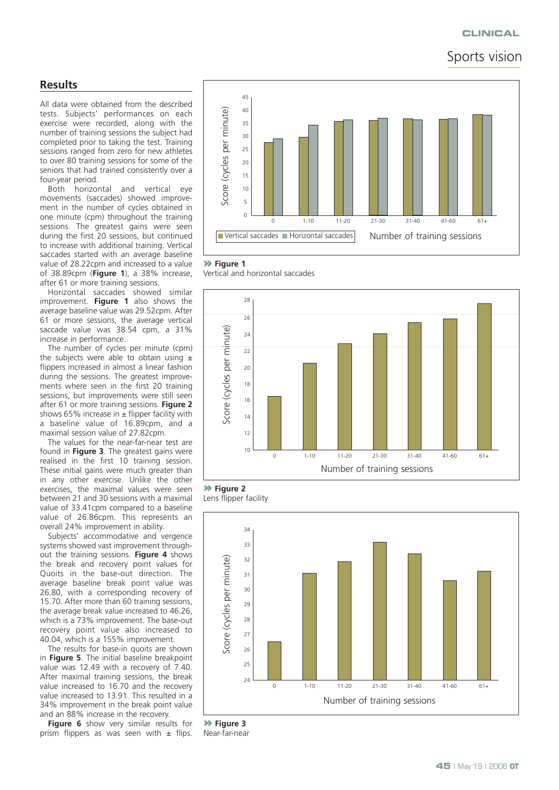#### **CLINICAL**

# Sports vision

## **Results**

All data were obtained from the described tests. Subjects' performances on each exercise were recorded, along with the number of training sessions the subject had completed prior to taking the test. Training sessions ranged from zero for new athletes to over 80 training sessions for some of the seniors that had trained consistently over a four-year period.

Both horizontal and vertical eye movements (saccades) showed improvement in the number of cycles obtained in one minute (cpm) throughout the training sessions. The greatest gains were seen during the first 20 sessions, but continued to increase with additional training. Vertical saccades started with an average baseline value of 28.22cpm and increased to a value of 38.89cpm (**Figure 1**), a 38% increase, after 61 or more training sessions.

Horizontal saccades showed similar improvement. **Figure 1** also shows the average baseline value was 29.52cpm. After 61 or more sessions, the average vertical saccade value was 38.54 cpm, a 31% increase in performance.

The number of cycles per minute (cpm) the subjects were able to obtain using  $\pm$ flippers increased in almost a linear fashion during the sessions. The greatest improvements where seen in the first 20 training sessions, but improvements were still seen after 61 or more training sessions. **Figure 2** shows 65% increase in  $\pm$  flipper facility with a baseline value of 16.89cpm, and a maximal session value of 27.82cpm.

The values for the near-far-near test are found in **Figure 3**. The greatest gains were realised in the first 10 training session. These initial gains were much greater than in any other exercise. Unlike the other exercises, the maximal values were seen between 21 and 30 sessions with a maximal value of 33.41cpm compared to a baseline value of 26.86cpm. This represents an overall 24% improvement in ability.

Subjects' accommodative and vergence systems showed vast improvement throughout the training sessions. **Figure 4** shows the break and recovery point values for Quoits in the base-out direction. The average baseline break point value was 26.80, with a corresponding recovery of 15.70. After more than 60 training sessions, the average break value increased to 46.26, which is a 73% improvement. The base-out recovery point value also increased to 40.04, which is a 155% improvement.

The results for base-in quoits are shown in **Figure 5**. The initial baseline breakpoint value was 12.49 with a recovery of 7.40. After maximal training sessions, the break value increased to 16.70 and the recovery value increased to 13.91. This resulted in a 34% improvement in the break point value and an 88% increase in the recovery.

**Figure 6** show very similar results for prism flippers as was seen with  $\pm$  flips.



#### **Figure 1**

Vertical and horizontal saccades



**Figure 2**<br>Lens flipper facility



**Figure 3** Near-far-near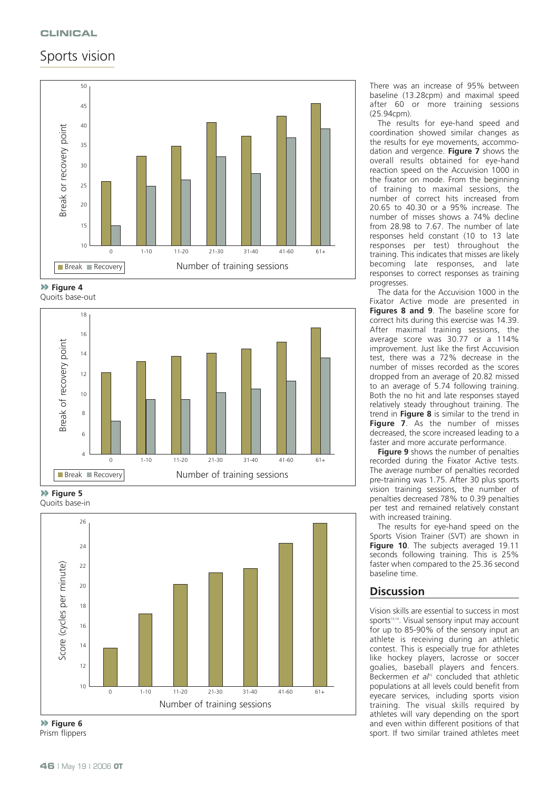# Sports vision



**Figure 4**





**Figure 5** Quoits base-in



**Figure 6** Prism flippers

There was an increase of 95% between baseline (13.28cpm) and maximal speed after 60 or more training sessions (25.94cpm).

The results for eye-hand speed and coordination showed similar changes as the results for eye movements, accommodation and vergence. **Figure 7** shows the overall results obtained for eye-hand reaction speed on the Accuvision 1000 in the fixator on mode. From the beginning of training to maximal sessions, the number of correct hits increased from 20.65 to 40.30 or a 95% increase. The number of misses shows a 74% decline from 28.98 to 7.67. The number of late responses held constant (10 to 13 late responses per test) throughout the training. This indicates that misses are likely becoming late responses, and late responses to correct responses as training progresses.

The data for the Accuvision 1000 in the Fixator Active mode are presented in **Figures 8 and 9**. The baseline score for correct hits during this exercise was 14.39. After maximal training sessions, the average score was 30.77 or a 114% improvement. Just like the first Accuvision test, there was a 72% decrease in the number of misses recorded as the scores dropped from an average of 20.82 missed to an average of 5.74 following training. Both the no hit and late responses stayed relatively steady throughout training. The trend in **Figure 8** is similar to the trend in **Figure 7**. As the number of misses decreased, the score increased leading to a faster and more accurate performance.

**Figure 9** shows the number of penalties recorded during the Fixator Active tests. The average number of penalties recorded pre-training was 1.75. After 30 plus sports vision training sessions, the number of penalties decreased 78% to 0.39 penalties per test and remained relatively constant with increased training.

The results for eye-hand speed on the Sports Vision Trainer (SVT) are shown in **Figure 10**. The subjects averaged 19.11 seconds following training. This is 25% faster when compared to the 25.36 second baseline time.

# **Discussion**

Vision skills are essential to success in most sports<sup>13,14</sup>. Visual sensory input may account for up to 85-90% of the sensory input an athlete is receiving during an athletic contest. This is especially true for athletes like hockey players, lacrosse or soccer goalies, baseball players and fencers. Beckermen *et al<sup>15</sup>* concluded that athletic populations at all levels could benefit from eyecare services, including sports vision training. The visual skills required by athletes will vary depending on the sport and even within different positions of that sport. If two similar trained athletes meet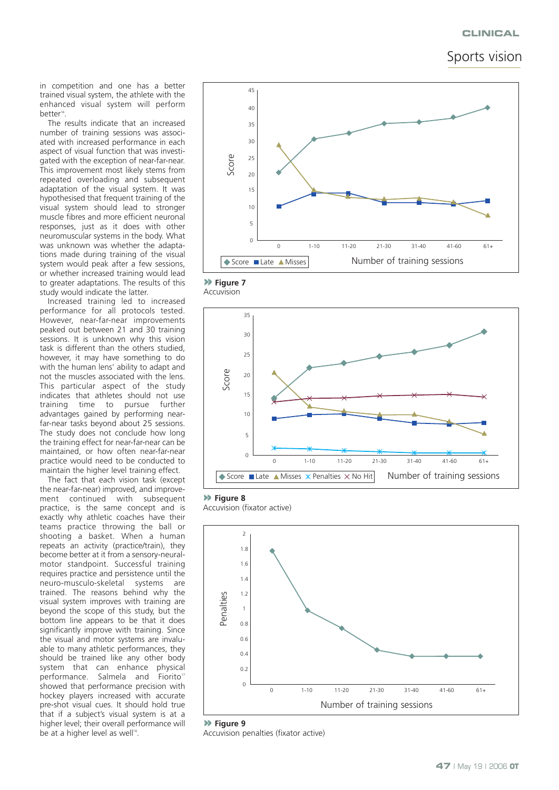#### **CLINICAL**

Sports vision

in competition and one has a better trained visual system, the athlete with the enhanced visual system will perform better<sup>16</sup>.

The results indicate that an increased number of training sessions was associated with increased performance in each aspect of visual function that was investigated with the exception of near-far-near. This improvement most likely stems from repeated overloading and subsequent adaptation of the visual system. It was hypothesised that frequent training of the visual system should lead to stronger muscle fibres and more efficient neuronal responses, just as it does with other neuromuscular systems in the body. What was unknown was whether the adaptations made during training of the visual system would peak after a few sessions, or whether increased training would lead to greater adaptations. The results of this study would indicate the latter.

Increased training led to increased performance for all protocols tested. However, near-far-near improvements peaked out between 21 and 30 training sessions. It is unknown why this vision task is different than the others studied, however, it may have something to do with the human lens' ability to adapt and not the muscles associated with the lens. This particular aspect of the study indicates that athletes should not use training time to pursue further advantages gained by performing nearfar-near tasks beyond about 25 sessions. The study does not conclude how long the training effect for near-far-near can be maintained, or how often near-far-near practice would need to be conducted to maintain the higher level training effect.

The fact that each vision task (except the near-far-near) improved, and improvement continued with subsequent practice, is the same concept and is exactly why athletic coaches have their teams practice throwing the ball or shooting a basket. When a human repeats an activity (practice/train), they become better at it from a sensory-neuralmotor standpoint. Successful training requires practice and persistence until the neuro-musculo-skeletal systems are trained. The reasons behind why the visual system improves with training are beyond the scope of this study, but the bottom line appears to be that it does significantly improve with training. Since the visual and motor systems are invaluable to many athletic performances, they should be trained like any other body system that can enhance physical performance. Salmela and Fiorito<sup>17</sup> showed that performance precision with hockey players increased with accurate pre-shot visual cues. It should hold true that if a subject's visual system is at a higher level; their overall performance will be at a higher level as well<sup>18</sup>.



**Figure 7** Accuvision



**Figure 8**

Accuvision (fixator active)



**Figure 9** Accuvision penalties (fixator active)